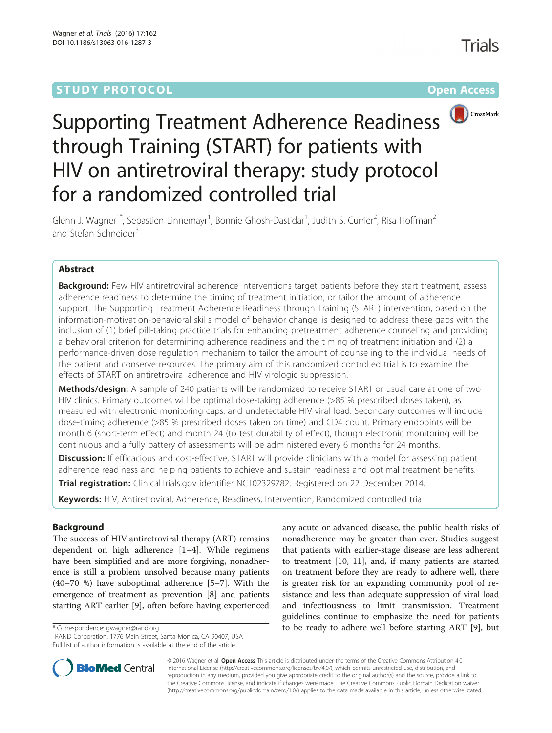# **STUDY PROTOCOL CONSUMING THE CONSUMING TO A RESERVE A** CONSUMING THE CONSUMING THE CONSUMING THE CONSUMING THE CONSUMING THE CONSUMING THE CONSUMING THE CONSUMING THE CONSUMING THE CONSUMING THE CONSUMING THE CONSUMING



# Supporting Treatment Adherence Readiness through Training (START) for patients with HIV on antiretroviral therapy: study protocol for a randomized controlled trial

Glenn J. Wagner<sup>1\*</sup>, Sebastien Linnemayr<sup>1</sup>, Bonnie Ghosh-Dastidar<sup>1</sup>, Judith S. Currier<sup>2</sup>, Risa Hoffman<sup>2</sup> and Stefan Schneider<sup>3</sup>

# Abstract

Background: Few HIV antiretroviral adherence interventions target patients before they start treatment, assess adherence readiness to determine the timing of treatment initiation, or tailor the amount of adherence support. The Supporting Treatment Adherence Readiness through Training (START) intervention, based on the information-motivation-behavioral skills model of behavior change, is designed to address these gaps with the inclusion of (1) brief pill-taking practice trials for enhancing pretreatment adherence counseling and providing a behavioral criterion for determining adherence readiness and the timing of treatment initiation and (2) a performance-driven dose regulation mechanism to tailor the amount of counseling to the individual needs of the patient and conserve resources. The primary aim of this randomized controlled trial is to examine the effects of START on antiretroviral adherence and HIV virologic suppression.

Methods/design: A sample of 240 patients will be randomized to receive START or usual care at one of two HIV clinics. Primary outcomes will be optimal dose-taking adherence (>85 % prescribed doses taken), as measured with electronic monitoring caps, and undetectable HIV viral load. Secondary outcomes will include dose-timing adherence (>85 % prescribed doses taken on time) and CD4 count. Primary endpoints will be month 6 (short-term effect) and month 24 (to test durability of effect), though electronic monitoring will be continuous and a fully battery of assessments will be administered every 6 months for 24 months.

Discussion: If efficacious and cost-effective, START will provide clinicians with a model for assessing patient adherence readiness and helping patients to achieve and sustain readiness and optimal treatment benefits.

Trial registration: ClinicalTrials.gov identifier [NCT02329782](https://clinicaltrials.gov/show/NCT02329782). Registered on 22 December 2014.

Keywords: HIV, Antiretroviral, Adherence, Readiness, Intervention, Randomized controlled trial

# **Background**

The success of HIV antiretroviral therapy (ART) remains dependent on high adherence [\[1](#page-8-0)–[4\]](#page-8-0). While regimens have been simplified and are more forgiving, nonadherence is still a problem unsolved because many patients (40–70 %) have suboptimal adherence [[5](#page-8-0)–[7](#page-8-0)]. With the emergence of treatment as prevention [\[8](#page-8-0)] and patients starting ART earlier [\[9](#page-8-0)], often before having experienced

<sup>1</sup>RAND Corporation, 1776 Main Street, Santa Monica, CA 90407, USA Full list of author information is available at the end of the article

any acute or advanced disease, the public health risks of nonadherence may be greater than ever. Studies suggest that patients with earlier-stage disease are less adherent to treatment [[10](#page-8-0), [11\]](#page-8-0), and, if many patients are started on treatment before they are ready to adhere well, there is greater risk for an expanding community pool of resistance and less than adequate suppression of viral load and infectiousness to limit transmission. Treatment guidelines continue to emphasize the need for patients \* Correspondence: [gwagner@rand.org](mailto:gwagner@rand.org) **the correspondence: gwagner@rand.org to be ready to adhere well before starting ART [[9\]](#page-8-0), but** 



© 2016 Wagner et al. Open Access This article is distributed under the terms of the Creative Commons Attribution 4.0 International License [\(http://creativecommons.org/licenses/by/4.0/](http://creativecommons.org/licenses/by/4.0/)), which permits unrestricted use, distribution, and reproduction in any medium, provided you give appropriate credit to the original author(s) and the source, provide a link to the Creative Commons license, and indicate if changes were made. The Creative Commons Public Domain Dedication waiver [\(http://creativecommons.org/publicdomain/zero/1.0/](http://creativecommons.org/publicdomain/zero/1.0/)) applies to the data made available in this article, unless otherwise stated.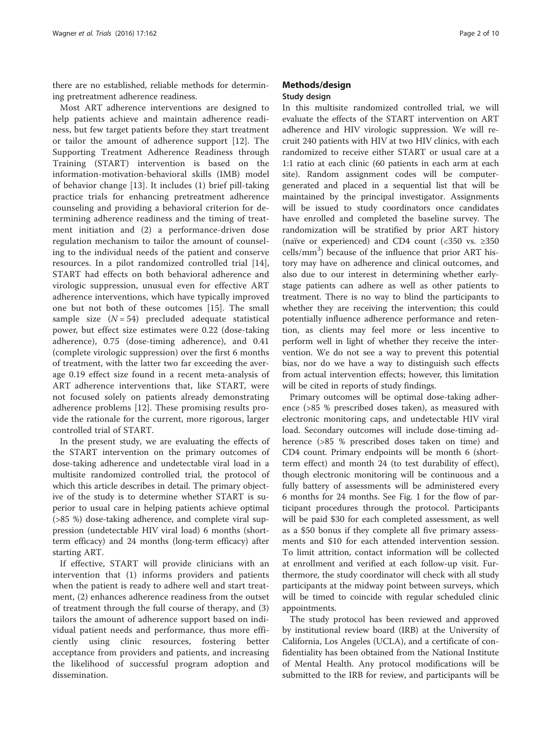there are no established, reliable methods for determining pretreatment adherence readiness.

Most ART adherence interventions are designed to help patients achieve and maintain adherence readiness, but few target patients before they start treatment or tailor the amount of adherence support [[12\]](#page-8-0). The Supporting Treatment Adherence Readiness through Training (START) intervention is based on the information-motivation-behavioral skills (IMB) model of behavior change [[13\]](#page-8-0). It includes (1) brief pill-taking practice trials for enhancing pretreatment adherence counseling and providing a behavioral criterion for determining adherence readiness and the timing of treatment initiation and (2) a performance-driven dose regulation mechanism to tailor the amount of counseling to the individual needs of the patient and conserve resources. In a pilot randomized controlled trial [\[14](#page-8-0)], START had effects on both behavioral adherence and virologic suppression, unusual even for effective ART adherence interventions, which have typically improved one but not both of these outcomes [[15\]](#page-8-0). The small sample size  $(N = 54)$  precluded adequate statistical power, but effect size estimates were 0.22 (dose-taking adherence), 0.75 (dose-timing adherence), and 0.41 (complete virologic suppression) over the first 6 months of treatment, with the latter two far exceeding the average 0.19 effect size found in a recent meta-analysis of ART adherence interventions that, like START, were not focused solely on patients already demonstrating adherence problems [\[12](#page-8-0)]. These promising results provide the rationale for the current, more rigorous, larger controlled trial of START.

In the present study, we are evaluating the effects of the START intervention on the primary outcomes of dose-taking adherence and undetectable viral load in a multisite randomized controlled trial, the protocol of which this article describes in detail. The primary objective of the study is to determine whether START is superior to usual care in helping patients achieve optimal (>85 %) dose-taking adherence, and complete viral suppression (undetectable HIV viral load) 6 months (shortterm efficacy) and 24 months (long-term efficacy) after starting ART.

If effective, START will provide clinicians with an intervention that (1) informs providers and patients when the patient is ready to adhere well and start treatment, (2) enhances adherence readiness from the outset of treatment through the full course of therapy, and (3) tailors the amount of adherence support based on individual patient needs and performance, thus more efficiently using clinic resources, fostering better acceptance from providers and patients, and increasing the likelihood of successful program adoption and dissemination.

# Methods/design Study design

In this multisite randomized controlled trial, we will evaluate the effects of the START intervention on ART adherence and HIV virologic suppression. We will recruit 240 patients with HIV at two HIV clinics, with each randomized to receive either START or usual care at a 1:1 ratio at each clinic (60 patients in each arm at each site). Random assignment codes will be computergenerated and placed in a sequential list that will be maintained by the principal investigator. Assignments will be issued to study coordinators once candidates have enrolled and completed the baseline survey. The randomization will be stratified by prior ART history (naïve or experienced) and CD4 count (<350 vs.  $\geq 350$ cells/mm<sup>3</sup>) because of the influence that prior ART history may have on adherence and clinical outcomes, and also due to our interest in determining whether earlystage patients can adhere as well as other patients to treatment. There is no way to blind the participants to whether they are receiving the intervention; this could potentially influence adherence performance and retention, as clients may feel more or less incentive to perform well in light of whether they receive the intervention. We do not see a way to prevent this potential bias, nor do we have a way to distinguish such effects from actual intervention effects; however, this limitation will be cited in reports of study findings.

Primary outcomes will be optimal dose-taking adherence (>85 % prescribed doses taken), as measured with electronic monitoring caps, and undetectable HIV viral load. Secondary outcomes will include dose-timing adherence (>85 % prescribed doses taken on time) and CD4 count. Primary endpoints will be month 6 (shortterm effect) and month 24 (to test durability of effect), though electronic monitoring will be continuous and a fully battery of assessments will be administered every 6 months for 24 months. See Fig. [1](#page-2-0) for the flow of participant procedures through the protocol. Participants will be paid \$30 for each completed assessment, as well as a \$50 bonus if they complete all five primary assessments and \$10 for each attended intervention session. To limit attrition, contact information will be collected at enrollment and verified at each follow-up visit. Furthermore, the study coordinator will check with all study participants at the midway point between surveys, which will be timed to coincide with regular scheduled clinic appointments.

The study protocol has been reviewed and approved by institutional review board (IRB) at the University of California, Los Angeles (UCLA), and a certificate of confidentiality has been obtained from the National Institute of Mental Health. Any protocol modifications will be submitted to the IRB for review, and participants will be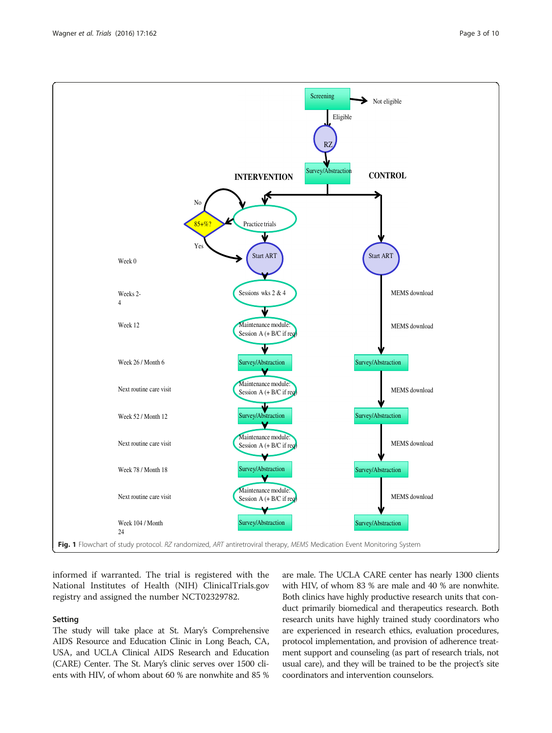<span id="page-2-0"></span>

informed if warranted. The trial is registered with the National Institutes of Health (NIH) ClinicalTrials.gov registry and assigned the number NCT02329782.

# Setting

The study will take place at St. Mary's Comprehensive AIDS Resource and Education Clinic in Long Beach, CA, USA, and UCLA Clinical AIDS Research and Education (CARE) Center. The St. Mary's clinic serves over 1500 clients with HIV, of whom about 60 % are nonwhite and 85 %

are male. The UCLA CARE center has nearly 1300 clients with HIV, of whom 83 % are male and 40 % are nonwhite. Both clinics have highly productive research units that conduct primarily biomedical and therapeutics research. Both research units have highly trained study coordinators who are experienced in research ethics, evaluation procedures, protocol implementation, and provision of adherence treatment support and counseling (as part of research trials, not usual care), and they will be trained to be the project's site coordinators and intervention counselors.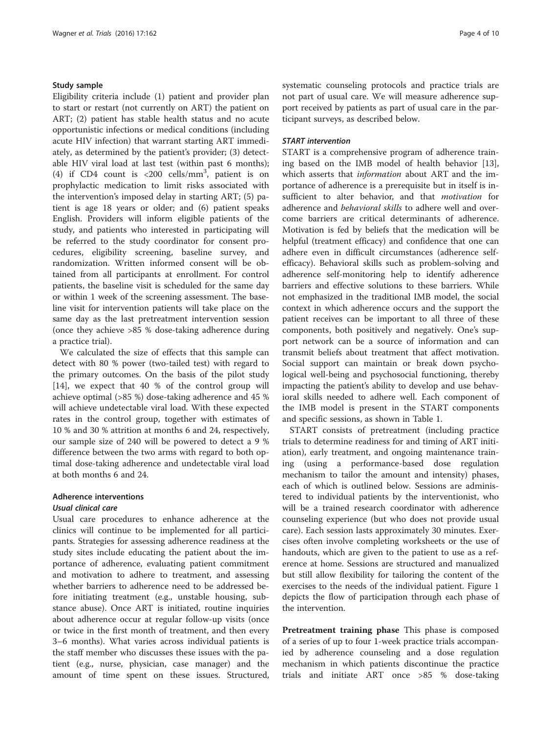## Study sample

Eligibility criteria include (1) patient and provider plan to start or restart (not currently on ART) the patient on ART; (2) patient has stable health status and no acute opportunistic infections or medical conditions (including acute HIV infection) that warrant starting ART immediately, as determined by the patient's provider; (3) detectable HIV viral load at last test (within past 6 months); (4) if  $CD4$  count is <200 cells/mm<sup>3</sup>, patient is on prophylactic medication to limit risks associated with the intervention's imposed delay in starting ART; (5) patient is age 18 years or older; and (6) patient speaks English. Providers will inform eligible patients of the study, and patients who interested in participating will be referred to the study coordinator for consent procedures, eligibility screening, baseline survey, and randomization. Written informed consent will be obtained from all participants at enrollment. For control patients, the baseline visit is scheduled for the same day or within 1 week of the screening assessment. The baseline visit for intervention patients will take place on the same day as the last pretreatment intervention session (once they achieve >85 % dose-taking adherence during a practice trial).

We calculated the size of effects that this sample can detect with 80 % power (two-tailed test) with regard to the primary outcomes. On the basis of the pilot study [[14\]](#page-8-0), we expect that 40 % of the control group will achieve optimal (>85 %) dose-taking adherence and 45 % will achieve undetectable viral load. With these expected rates in the control group, together with estimates of 10 % and 30 % attrition at months 6 and 24, respectively, our sample size of 240 will be powered to detect a 9 % difference between the two arms with regard to both optimal dose-taking adherence and undetectable viral load at both months 6 and 24.

# Adherence interventions

# Usual clinical care

Usual care procedures to enhance adherence at the clinics will continue to be implemented for all participants. Strategies for assessing adherence readiness at the study sites include educating the patient about the importance of adherence, evaluating patient commitment and motivation to adhere to treatment, and assessing whether barriers to adherence need to be addressed before initiating treatment (e.g., unstable housing, substance abuse). Once ART is initiated, routine inquiries about adherence occur at regular follow-up visits (once or twice in the first month of treatment, and then every 3–6 months). What varies across individual patients is the staff member who discusses these issues with the patient (e.g., nurse, physician, case manager) and the amount of time spent on these issues. Structured, systematic counseling protocols and practice trials are not part of usual care. We will measure adherence support received by patients as part of usual care in the participant surveys, as described below.

#### START intervention

START is a comprehensive program of adherence training based on the IMB model of health behavior [\[13](#page-8-0)], which asserts that *information* about ART and the importance of adherence is a prerequisite but in itself is insufficient to alter behavior, and that *motivation* for adherence and *behavioral skills* to adhere well and overcome barriers are critical determinants of adherence. Motivation is fed by beliefs that the medication will be helpful (treatment efficacy) and confidence that one can adhere even in difficult circumstances (adherence selfefficacy). Behavioral skills such as problem-solving and adherence self-monitoring help to identify adherence barriers and effective solutions to these barriers. While not emphasized in the traditional IMB model, the social context in which adherence occurs and the support the patient receives can be important to all three of these components, both positively and negatively. One's support network can be a source of information and can transmit beliefs about treatment that affect motivation. Social support can maintain or break down psychological well-being and psychosocial functioning, thereby impacting the patient's ability to develop and use behavioral skills needed to adhere well. Each component of the IMB model is present in the START components and specific sessions, as shown in Table [1](#page-4-0).

START consists of pretreatment (including practice trials to determine readiness for and timing of ART initiation), early treatment, and ongoing maintenance training (using a performance-based dose regulation mechanism to tailor the amount and intensity) phases, each of which is outlined below. Sessions are administered to individual patients by the interventionist, who will be a trained research coordinator with adherence counseling experience (but who does not provide usual care). Each session lasts approximately 30 minutes. Exercises often involve completing worksheets or the use of handouts, which are given to the patient to use as a reference at home. Sessions are structured and manualized but still allow flexibility for tailoring the content of the exercises to the needs of the individual patient. Figure [1](#page-2-0) depicts the flow of participation through each phase of the intervention.

Pretreatment training phase This phase is composed of a series of up to four 1-week practice trials accompanied by adherence counseling and a dose regulation mechanism in which patients discontinue the practice trials and initiate ART once >85 % dose-taking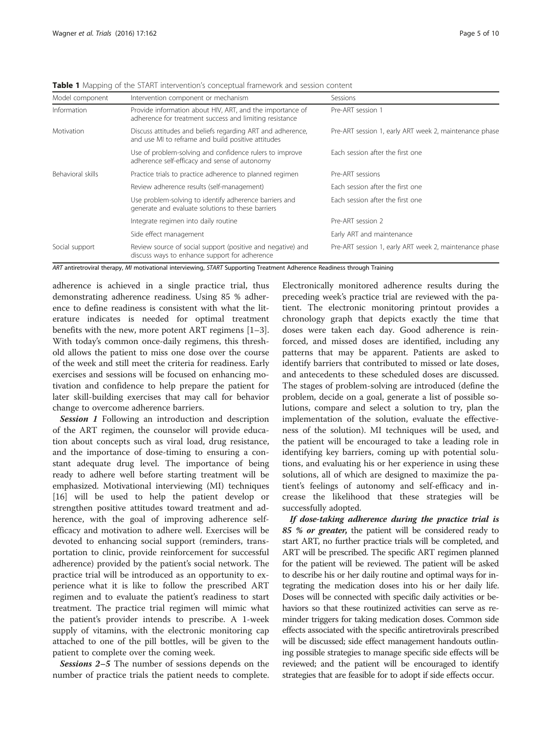| Model component   | Intervention component or mechanism                                                                                  | Sessions                                               |  |
|-------------------|----------------------------------------------------------------------------------------------------------------------|--------------------------------------------------------|--|
| Information       | Provide information about HIV, ART, and the importance of<br>adherence for treatment success and limiting resistance | Pre-ART session 1                                      |  |
| Motivation        | Discuss attitudes and beliefs regarding ART and adherence,<br>and use MI to reframe and build positive attitudes     | Pre-ART session 1, early ART week 2, maintenance phase |  |
|                   | Use of problem-solving and confidence rulers to improve<br>adherence self-efficacy and sense of autonomy             | Each session after the first one                       |  |
| Behavioral skills | Practice trials to practice adherence to planned regimen                                                             | Pre-ART sessions                                       |  |
|                   | Review adherence results (self-management)                                                                           | Each session after the first one                       |  |
|                   | Use problem-solving to identify adherence barriers and<br>generate and evaluate solutions to these barriers          | Fach session after the first one                       |  |
|                   | Integrate regimen into daily routine                                                                                 | Pre-ART session 2                                      |  |
|                   | Side effect management                                                                                               | Early ART and maintenance                              |  |
| Social support    | Review source of social support (positive and negative) and<br>discuss ways to enhance support for adherence         | Pre-ART session 1, early ART week 2, maintenance phase |  |

<span id="page-4-0"></span>Table 1 Mapping of the START intervention's conceptual framework and session content

ART antiretroviral therapy, MI motivational interviewing, START Supporting Treatment Adherence Readiness through Training

adherence is achieved in a single practice trial, thus demonstrating adherence readiness. Using 85 % adherence to define readiness is consistent with what the literature indicates is needed for optimal treatment benefits with the new, more potent ART regimens [\[1](#page-8-0)–[3](#page-8-0)]. With today's common once-daily regimens, this threshold allows the patient to miss one dose over the course of the week and still meet the criteria for readiness. Early exercises and sessions will be focused on enhancing motivation and confidence to help prepare the patient for later skill-building exercises that may call for behavior change to overcome adherence barriers.

Session 1 Following an introduction and description of the ART regimen, the counselor will provide education about concepts such as viral load, drug resistance, and the importance of dose-timing to ensuring a constant adequate drug level. The importance of being ready to adhere well before starting treatment will be emphasized. Motivational interviewing (MI) techniques [[16\]](#page-9-0) will be used to help the patient develop or strengthen positive attitudes toward treatment and adherence, with the goal of improving adherence selfefficacy and motivation to adhere well. Exercises will be devoted to enhancing social support (reminders, transportation to clinic, provide reinforcement for successful adherence) provided by the patient's social network. The practice trial will be introduced as an opportunity to experience what it is like to follow the prescribed ART regimen and to evaluate the patient's readiness to start treatment. The practice trial regimen will mimic what the patient's provider intends to prescribe. A 1-week supply of vitamins, with the electronic monitoring cap attached to one of the pill bottles, will be given to the patient to complete over the coming week.

**Sessions 2–5** The number of sessions depends on the number of practice trials the patient needs to complete.

Electronically monitored adherence results during the preceding week's practice trial are reviewed with the patient. The electronic monitoring printout provides a chronology graph that depicts exactly the time that doses were taken each day. Good adherence is reinforced, and missed doses are identified, including any patterns that may be apparent. Patients are asked to identify barriers that contributed to missed or late doses, and antecedents to these scheduled doses are discussed. The stages of problem-solving are introduced (define the problem, decide on a goal, generate a list of possible solutions, compare and select a solution to try, plan the implementation of the solution, evaluate the effectiveness of the solution). MI techniques will be used, and the patient will be encouraged to take a leading role in identifying key barriers, coming up with potential solutions, and evaluating his or her experience in using these solutions, all of which are designed to maximize the patient's feelings of autonomy and self-efficacy and increase the likelihood that these strategies will be successfully adopted.

If dose-taking adherence during the practice trial is 85 % or greater, the patient will be considered ready to start ART, no further practice trials will be completed, and ART will be prescribed. The specific ART regimen planned for the patient will be reviewed. The patient will be asked to describe his or her daily routine and optimal ways for integrating the medication doses into his or her daily life. Doses will be connected with specific daily activities or behaviors so that these routinized activities can serve as reminder triggers for taking medication doses. Common side effects associated with the specific antiretrovirals prescribed will be discussed; side effect management handouts outlining possible strategies to manage specific side effects will be reviewed; and the patient will be encouraged to identify strategies that are feasible for to adopt if side effects occur.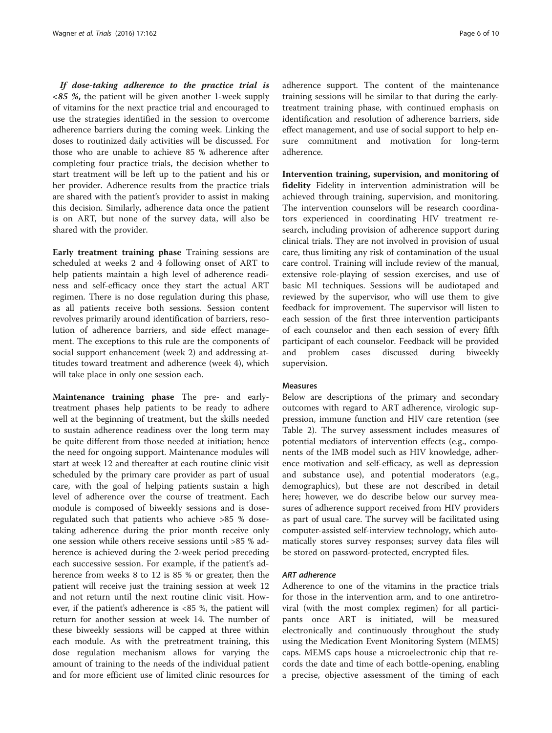If dose-taking adherence to the practice trial is <85 %, the patient will be given another 1-week supply of vitamins for the next practice trial and encouraged to use the strategies identified in the session to overcome adherence barriers during the coming week. Linking the doses to routinized daily activities will be discussed. For those who are unable to achieve 85 % adherence after completing four practice trials, the decision whether to start treatment will be left up to the patient and his or her provider. Adherence results from the practice trials are shared with the patient's provider to assist in making this decision. Similarly, adherence data once the patient is on ART, but none of the survey data, will also be shared with the provider.

Early treatment training phase Training sessions are scheduled at weeks 2 and 4 following onset of ART to help patients maintain a high level of adherence readiness and self-efficacy once they start the actual ART regimen. There is no dose regulation during this phase, as all patients receive both sessions. Session content revolves primarily around identification of barriers, resolution of adherence barriers, and side effect management. The exceptions to this rule are the components of social support enhancement (week 2) and addressing attitudes toward treatment and adherence (week 4), which will take place in only one session each.

Maintenance training phase The pre- and earlytreatment phases help patients to be ready to adhere well at the beginning of treatment, but the skills needed to sustain adherence readiness over the long term may be quite different from those needed at initiation; hence the need for ongoing support. Maintenance modules will start at week 12 and thereafter at each routine clinic visit scheduled by the primary care provider as part of usual care, with the goal of helping patients sustain a high level of adherence over the course of treatment. Each module is composed of biweekly sessions and is doseregulated such that patients who achieve >85 % dosetaking adherence during the prior month receive only one session while others receive sessions until >85 % adherence is achieved during the 2-week period preceding each successive session. For example, if the patient's adherence from weeks 8 to 12 is 85 % or greater, then the patient will receive just the training session at week 12 and not return until the next routine clinic visit. However, if the patient's adherence is <85 %, the patient will return for another session at week 14. The number of these biweekly sessions will be capped at three within each module. As with the pretreatment training, this dose regulation mechanism allows for varying the amount of training to the needs of the individual patient and for more efficient use of limited clinic resources for

adherence support. The content of the maintenance training sessions will be similar to that during the earlytreatment training phase, with continued emphasis on identification and resolution of adherence barriers, side effect management, and use of social support to help ensure commitment and motivation for long-term adherence.

Intervention training, supervision, and monitoring of fidelity Fidelity in intervention administration will be achieved through training, supervision, and monitoring. The intervention counselors will be research coordinators experienced in coordinating HIV treatment research, including provision of adherence support during clinical trials. They are not involved in provision of usual care, thus limiting any risk of contamination of the usual care control. Training will include review of the manual, extensive role-playing of session exercises, and use of basic MI techniques. Sessions will be audiotaped and reviewed by the supervisor, who will use them to give feedback for improvement. The supervisor will listen to each session of the first three intervention participants of each counselor and then each session of every fifth participant of each counselor. Feedback will be provided and problem cases discussed during biweekly supervision.

#### Measures

Below are descriptions of the primary and secondary outcomes with regard to ART adherence, virologic suppression, immune function and HIV care retention (see Table [2\)](#page-6-0). The survey assessment includes measures of potential mediators of intervention effects (e.g., components of the IMB model such as HIV knowledge, adherence motivation and self-efficacy, as well as depression and substance use), and potential moderators (e.g., demographics), but these are not described in detail here; however, we do describe below our survey measures of adherence support received from HIV providers as part of usual care. The survey will be facilitated using computer-assisted self-interview technology, which automatically stores survey responses; survey data files will be stored on password-protected, encrypted files.

## ART adherence

Adherence to one of the vitamins in the practice trials for those in the intervention arm, and to one antiretroviral (with the most complex regimen) for all participants once ART is initiated, will be measured electronically and continuously throughout the study using the Medication Event Monitoring System (MEMS) caps. MEMS caps house a microelectronic chip that records the date and time of each bottle-opening, enabling a precise, objective assessment of the timing of each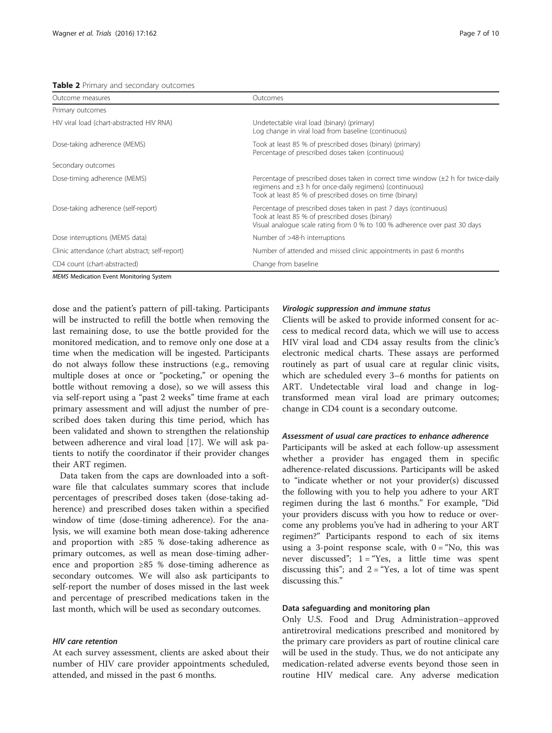<span id="page-6-0"></span>

| Outcome measures                                | Outcomes                                                                                                                                                                                                             |
|-------------------------------------------------|----------------------------------------------------------------------------------------------------------------------------------------------------------------------------------------------------------------------|
| Primary outcomes                                |                                                                                                                                                                                                                      |
| HIV viral load (chart-abstracted HIV RNA)       | Undetectable viral load (binary) (primary)<br>Log change in viral load from baseline (continuous)                                                                                                                    |
| Dose-taking adherence (MEMS)                    | Took at least 85 % of prescribed doses (binary) (primary)<br>Percentage of prescribed doses taken (continuous)                                                                                                       |
| Secondary outcomes                              |                                                                                                                                                                                                                      |
| Dose-timing adherence (MEMS)                    | Percentage of prescribed doses taken in correct time window $(\pm 2 \, h$ for twice-daily<br>regimens and $\pm 3$ h for once-daily regimens) (continuous)<br>Took at least 85 % of prescribed doses on time (binary) |
| Dose-taking adherence (self-report)             | Percentage of prescribed doses taken in past 7 days (continuous)<br>Took at least 85 % of prescribed doses (binary)<br>Visual analogue scale rating from 0 % to 100 % adherence over past 30 days                    |
| Dose interruptions (MEMS data)                  | Number of >48-h interruptions                                                                                                                                                                                        |
| Clinic attendance (chart abstract; self-report) | Number of attended and missed clinic appointments in past 6 months                                                                                                                                                   |
| CD4 count (chart-abstracted)                    | Change from baseline                                                                                                                                                                                                 |

MEMS Medication Event Monitoring System

dose and the patient's pattern of pill-taking. Participants will be instructed to refill the bottle when removing the last remaining dose, to use the bottle provided for the monitored medication, and to remove only one dose at a time when the medication will be ingested. Participants do not always follow these instructions (e.g., removing multiple doses at once or "pocketing," or opening the bottle without removing a dose), so we will assess this via self-report using a "past 2 weeks" time frame at each primary assessment and will adjust the number of prescribed does taken during this time period, which has been validated and shown to strengthen the relationship between adherence and viral load [[17](#page-9-0)]. We will ask patients to notify the coordinator if their provider changes their ART regimen.

Data taken from the caps are downloaded into a software file that calculates summary scores that include percentages of prescribed doses taken (dose-taking adherence) and prescribed doses taken within a specified window of time (dose-timing adherence). For the analysis, we will examine both mean dose-taking adherence and proportion with ≥85 % dose-taking adherence as primary outcomes, as well as mean dose-timing adherence and proportion ≥85 % dose-timing adherence as secondary outcomes. We will also ask participants to self-report the number of doses missed in the last week and percentage of prescribed medications taken in the last month, which will be used as secondary outcomes.

#### HIV care retention

At each survey assessment, clients are asked about their number of HIV care provider appointments scheduled, attended, and missed in the past 6 months.

#### Virologic suppression and immune status

Clients will be asked to provide informed consent for access to medical record data, which we will use to access HIV viral load and CD4 assay results from the clinic's electronic medical charts. These assays are performed routinely as part of usual care at regular clinic visits, which are scheduled every 3–6 months for patients on ART. Undetectable viral load and change in logtransformed mean viral load are primary outcomes; change in CD4 count is a secondary outcome.

#### Assessment of usual care practices to enhance adherence

Participants will be asked at each follow-up assessment whether a provider has engaged them in specific adherence-related discussions. Participants will be asked to "indicate whether or not your provider(s) discussed the following with you to help you adhere to your ART regimen during the last 6 months." For example, "Did your providers discuss with you how to reduce or overcome any problems you've had in adhering to your ART regimen?" Participants respond to each of six items using a 3-point response scale, with  $0 =$  "No, this was never discussed";  $1 =$  "Yes, a little time was spent discussing this"; and  $2 =$  "Yes, a lot of time was spent discussing this."

#### Data safeguarding and monitoring plan

Only U.S. Food and Drug Administration–approved antiretroviral medications prescribed and monitored by the primary care providers as part of routine clinical care will be used in the study. Thus, we do not anticipate any medication-related adverse events beyond those seen in routine HIV medical care. Any adverse medication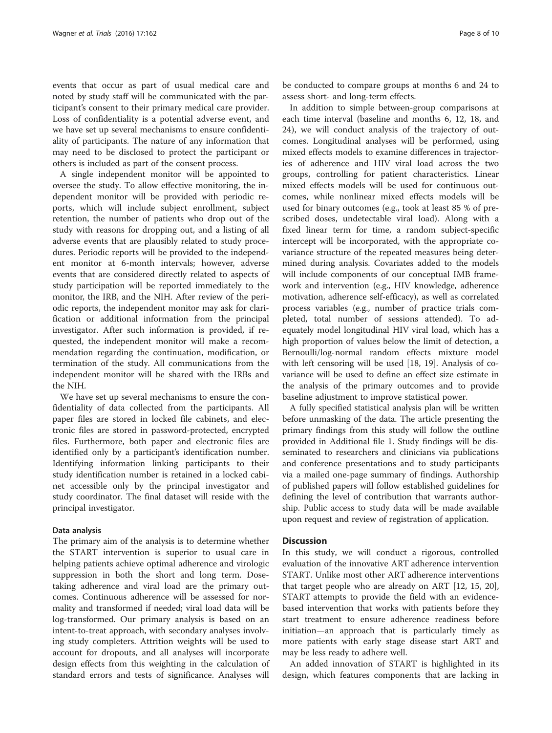events that occur as part of usual medical care and noted by study staff will be communicated with the participant's consent to their primary medical care provider. Loss of confidentiality is a potential adverse event, and we have set up several mechanisms to ensure confidentiality of participants. The nature of any information that may need to be disclosed to protect the participant or others is included as part of the consent process.

A single independent monitor will be appointed to oversee the study. To allow effective monitoring, the independent monitor will be provided with periodic reports, which will include subject enrollment, subject retention, the number of patients who drop out of the study with reasons for dropping out, and a listing of all adverse events that are plausibly related to study procedures. Periodic reports will be provided to the independent monitor at 6-month intervals; however, adverse events that are considered directly related to aspects of study participation will be reported immediately to the monitor, the IRB, and the NIH. After review of the periodic reports, the independent monitor may ask for clarification or additional information from the principal investigator. After such information is provided, if requested, the independent monitor will make a recommendation regarding the continuation, modification, or termination of the study. All communications from the independent monitor will be shared with the IRBs and the NIH.

We have set up several mechanisms to ensure the confidentiality of data collected from the participants. All paper files are stored in locked file cabinets, and electronic files are stored in password-protected, encrypted files. Furthermore, both paper and electronic files are identified only by a participant's identification number. Identifying information linking participants to their study identification number is retained in a locked cabinet accessible only by the principal investigator and study coordinator. The final dataset will reside with the principal investigator.

#### Data analysis

The primary aim of the analysis is to determine whether the START intervention is superior to usual care in helping patients achieve optimal adherence and virologic suppression in both the short and long term. Dosetaking adherence and viral load are the primary outcomes. Continuous adherence will be assessed for normality and transformed if needed; viral load data will be log-transformed. Our primary analysis is based on an intent-to-treat approach, with secondary analyses involving study completers. Attrition weights will be used to account for dropouts, and all analyses will incorporate design effects from this weighting in the calculation of standard errors and tests of significance. Analyses will

be conducted to compare groups at months 6 and 24 to assess short- and long-term effects.

In addition to simple between-group comparisons at each time interval (baseline and months 6, 12, 18, and 24), we will conduct analysis of the trajectory of outcomes. Longitudinal analyses will be performed, using mixed effects models to examine differences in trajectories of adherence and HIV viral load across the two groups, controlling for patient characteristics. Linear mixed effects models will be used for continuous outcomes, while nonlinear mixed effects models will be used for binary outcomes (e.g., took at least 85 % of prescribed doses, undetectable viral load). Along with a fixed linear term for time, a random subject-specific intercept will be incorporated, with the appropriate covariance structure of the repeated measures being determined during analysis. Covariates added to the models will include components of our conceptual IMB framework and intervention (e.g., HIV knowledge, adherence motivation, adherence self-efficacy), as well as correlated process variables (e.g., number of practice trials completed, total number of sessions attended). To adequately model longitudinal HIV viral load, which has a high proportion of values below the limit of detection, a Bernoulli/log-normal random effects mixture model with left censoring will be used [\[18](#page-9-0), [19\]](#page-9-0). Analysis of covariance will be used to define an effect size estimate in the analysis of the primary outcomes and to provide baseline adjustment to improve statistical power.

A fully specified statistical analysis plan will be written before unmasking of the data. The article presenting the primary findings from this study will follow the outline provided in Additional file [1](#page-8-0). Study findings will be disseminated to researchers and clinicians via publications and conference presentations and to study participants via a mailed one-page summary of findings. Authorship of published papers will follow established guidelines for defining the level of contribution that warrants authorship. Public access to study data will be made available upon request and review of registration of application.

#### **Discussion**

In this study, we will conduct a rigorous, controlled evaluation of the innovative ART adherence intervention START. Unlike most other ART adherence interventions that target people who are already on ART [\[12](#page-8-0), [15,](#page-8-0) [20](#page-9-0)], START attempts to provide the field with an evidencebased intervention that works with patients before they start treatment to ensure adherence readiness before initiation—an approach that is particularly timely as more patients with early stage disease start ART and may be less ready to adhere well.

An added innovation of START is highlighted in its design, which features components that are lacking in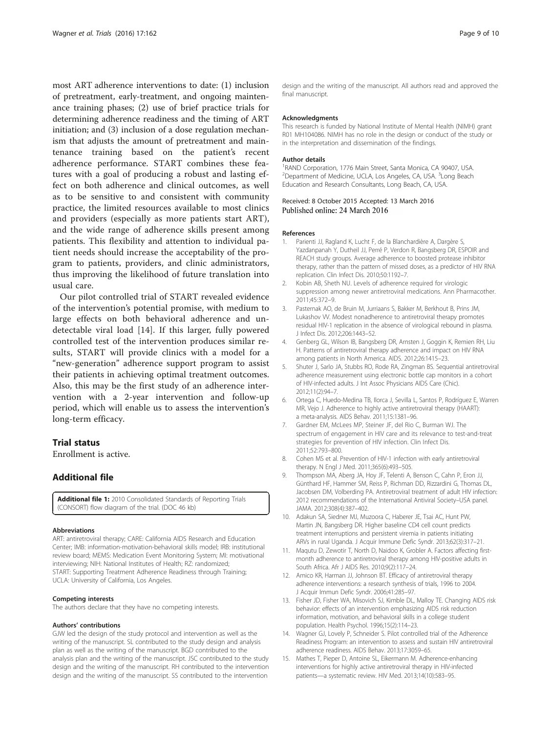<span id="page-8-0"></span>most ART adherence interventions to date: (1) inclusion of pretreatment, early-treatment, and ongoing maintenance training phases; (2) use of brief practice trials for determining adherence readiness and the timing of ART initiation; and (3) inclusion of a dose regulation mechanism that adjusts the amount of pretreatment and maintenance training based on the patient's recent adherence performance. START combines these features with a goal of producing a robust and lasting effect on both adherence and clinical outcomes, as well as to be sensitive to and consistent with community practice, the limited resources available to most clinics and providers (especially as more patients start ART), and the wide range of adherence skills present among patients. This flexibility and attention to individual patient needs should increase the acceptability of the program to patients, providers, and clinic administrators, thus improving the likelihood of future translation into usual care.

Our pilot controlled trial of START revealed evidence of the intervention's potential promise, with medium to large effects on both behavioral adherence and undetectable viral load [14]. If this larger, fully powered controlled test of the intervention produces similar results, START will provide clinics with a model for a "new-generation" adherence support program to assist their patients in achieving optimal treatment outcomes. Also, this may be the first study of an adherence intervention with a 2-year intervention and follow-up period, which will enable us to assess the intervention's long-term efficacy.

# Trial status

Enrollment is active.

# Additional file

[Additional file 1:](dx.doi.org/10.1186/s13063-016-1287-3) 2010 Consolidated Standards of Reporting Trials (CONSORT) flow diagram of the trial. (DOC 46 kb)

#### Abbreviations

ART: antiretroviral therapy; CARE: California AIDS Research and Education Center; IMB: information-motivation-behavioral skills model; IRB: institutional review board; MEMS: Medication Event Monitoring System; MI: motivational interviewing; NIH: National Institutes of Health; RZ: randomized; START: Supporting Treatment Adherence Readiness through Training; UCLA: University of California, Los Angeles.

#### Competing interests

The authors declare that they have no competing interests.

#### Authors' contributions

GJW led the design of the study protocol and intervention as well as the writing of the manuscript. SL contributed to the study design and analysis plan as well as the writing of the manuscript. BGD contributed to the analysis plan and the writing of the manuscript. JSC contributed to the study design and the writing of the manuscript. RH contributed to the intervention design and the writing of the manuscript. SS contributed to the intervention

design and the writing of the manuscript. All authors read and approved the final manuscript.

#### Acknowledgments

This research is funded by National Institute of Mental Health (NIMH) grant R01 MH104086. NIMH has no role in the design or conduct of the study or in the interpretation and dissemination of the findings.

#### Author details

<sup>1</sup>RAND Corporation, 1776 Main Street, Santa Monica, CA 90407, USA <sup>2</sup>Department of Medicine, UCLA, Los Angeles, CA, USA. <sup>3</sup>Long Beach Education and Research Consultants, Long Beach, CA, USA.

Received: 8 October 2015 Accepted: 13 March 2016 Published online: 24 March 2016

#### References

- Parienti JJ, Ragland K, Lucht F, de la Blanchardière A, Dargère S, Yazdanpanah Y, Dutheil JJ, Perré P, Verdon R, Bangsberg DR, ESPOIR and REACH study groups. Average adherence to boosted protease inhibitor therapy, rather than the pattern of missed doses, as a predictor of HIV RNA replication. Clin Infect Dis. 2010;50:1192–7.
- 2. Kobin AB, Sheth NU. Levels of adherence required for virologic suppression among newer antiretroviral medications. Ann Pharmacother. 2011;45:372–9.
- 3. Pasternak AO, de Bruin M, Jurriaans S, Bakker M, Berkhout B, Prins JM, Lukashov VV. Modest nonadherence to antiretroviral therapy promotes residual HIV-1 replication in the absence of virological rebound in plasma. J Infect Dis. 2012;206:1443–52.
- 4. Genberg GL, Wilson IB, Bangsberg DR, Arnsten J, Goggin K, Remien RH, Liu H. Patterns of antiretroviral therapy adherence and impact on HIV RNA among patients in North America. AIDS. 2012;26:1415–23.
- 5. Shuter J, Sarlo JA, Stubbs RO, Rode RA, Zingman BS. Sequential antiretroviral adherence measurement using electronic bottle cap monitors in a cohort of HIV-infected adults. J Int Assoc Physicians AIDS Care (Chic). 2012;11(2):94–7.
- 6. Ortega C, Huedo-Medina TB, Ilorca J, Sevilla L, Santos P, Rodríguez E, Warren MR, Vejo J. Adherence to highly active antiretroviral therapy (HAART): a meta-analysis. AIDS Behav. 2011;15:1381–96.
- 7. Gardner EM, McLees MP, Steiner JF, del Rio C, Burman WJ. The spectrum of engagement in HIV care and its relevance to test-and-treat strategies for prevention of HIV infection. Clin Infect Dis. 2011;52:793–800.
- 8. Cohen MS et al. Prevention of HIV-1 infection with early antiretroviral therapy. N Engl J Med. 2011;365(6):493–505.
- 9. Thompson MA, Aberg JA, Hoy JF, Telenti A, Benson C, Cahn P, Eron JJ, Günthard HF, Hammer SM, Reiss P, Richman DD, Rizzardini G, Thomas DL, Jacobsen DM, Volberding PA. Antiretroviral treatment of adult HIV infection: 2012 recommendations of the International Antiviral Society–USA panel. JAMA. 2012;308(4):387–402.
- 10. Adakun SA, Siedner MJ, Muzoora C, Haberer JE, Tsai AC, Hunt PW, Martin JN, Bangsberg DR. Higher baseline CD4 cell count predicts treatment interruptions and persistent viremia in patients initiating ARVs in rural Uganda. J Acquir Immune Defic Syndr. 2013;62(3):317–21.
- 11. Maqutu D, Zewotir T, North D, Naidoo K, Grobler A. Factors affecting firstmonth adherence to antiretroviral therapy among HIV-positive adults in South Africa. Afr J AIDS Res. 2010;9(2):117–24.
- 12. Amico KR, Harman JJ, Johnson BT. Efficacy of antiretroviral therapy adherence interventions: a research synthesis of trials, 1996 to 2004. J Acquir Immun Defic Syndr. 2006;41:285–97.
- 13. Fisher JD, Fisher WA, Misovich SJ, Kimble DL, Malloy TE. Changing AIDS risk behavior: effects of an intervention emphasizing AIDS risk reduction information, motivation, and behavioral skills in a college student population. Health Psychol. 1996;15(2):114–23.
- 14. Wagner GJ, Lovely P, Schneider S. Pilot controlled trial of the Adherence Readiness Program: an intervention to assess and sustain HIV antiretroviral adherence readiness. AIDS Behav. 2013;17:3059–65.
- 15. Mathes T, Pieper D, Antoine SL, Eikermann M. Adherence-enhancing interventions for highly active antiretroviral therapy in HIV-infected patients—a systematic review. HIV Med. 2013;14(10):583–95.